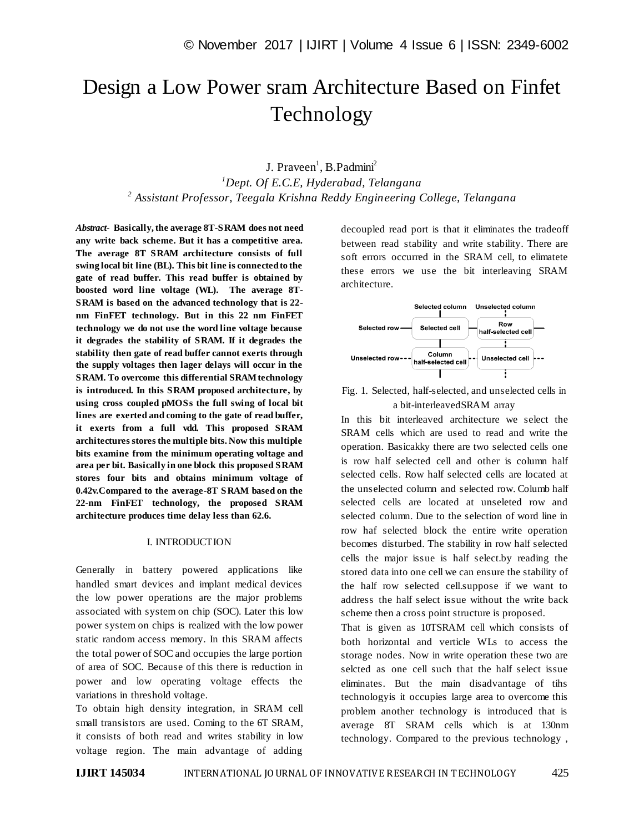# Design a Low Power sram Architecture Based on Finfet Technology

J. Praveen<sup>1</sup>, B.Padmini<sup>2</sup> *<sup>1</sup>Dept. Of E.C.E, Hyderabad, Telangana 2 Assistant Professor, Teegala Krishna Reddy Engineering College, Telangana*

*Abstract*- **Basically, the average 8T-SRAM does not need any write back scheme. But it has a competitive area. The average 8T SRAM architecture consists of full swing local bit line (BL). This bit line is connected to the gate of read buffer. This read buffer is obtained by boosted word line voltage (WL). The average 8T-SRAM is based on the advanced technology that is 22 nm FinFET technology. But in this 22 nm FinFET technology we do not use the word line voltage because it degrades the stability of SRAM. If it degrades the stability then gate of read buffer cannot exerts through the supply voltages then lager delays will occur in the SRAM. To overcome this differential SRAM technology is introduced. In this SRAM proposed architecture, by using cross coupled pMOSs the full swing of local bit lines are exerted and coming to the gate of read buffer, it exerts from a full vdd. This proposed SRAM architectures stores the multiple bits. Now this multiple bits examine from the minimum operating voltage and area per bit. Basically in one block this proposed SRAM stores four bits and obtains minimum voltage of 0.42v.Compared to the average-8T SRAM based on the 22-nm FinFET technology, the proposed SRAM architecture produces time delay less than 62.6.**

## I. INTRODUCTION

Generally in battery powered applications like handled smart devices and implant medical devices the low power operations are the major problems associated with system on chip (SOC). Later this low power system on chips is realized with the low power static random access memory. In this SRAM affects the total power of SOC and occupies the large portion of area of SOC. Because of this there is reduction in power and low operating voltage effects the variations in threshold voltage.

To obtain high density integration, in SRAM cell small transistors are used. Coming to the 6T SRAM, it consists of both read and writes stability in low voltage region. The main advantage of adding

decoupled read port is that it eliminates the tradeoff between read stability and write stability. There are soft errors occurred in the SRAM cell, to elimatete these errors we use the bit interleaving SRAM architecture.



Fig. 1. Selected, half-selected, and unselected cells in a bit-interleavedSRAM array

In this bit interleaved architecture we select the SRAM cells which are used to read and write the operation. Basicakky there are two selected cells one is row half selected cell and other is column half selected cells. Row half selected cells are located at the unselected column and selected row. Columb half selected cells are located at unseleted row and selected column. Due to the selection of word line in row haf selected block the entire write operation becomes disturbed. The stability in row half selected cells the major issue is half select.by reading the stored data into one cell we can ensure the stability of the half row selected cell.suppose if we want to address the half select issue without the write back scheme then a cross point structure is proposed.

That is given as 10TSRAM cell which consists of both horizontal and verticle WLs to access the storage nodes. Now in write operation these two are selcted as one cell such that the half select issue eliminates. But the main disadvantage of tihs technologyis it occupies large area to overcome this problem another technology is introduced that is average 8T SRAM cells which is at 130nm technology. Compared to the previous technology ,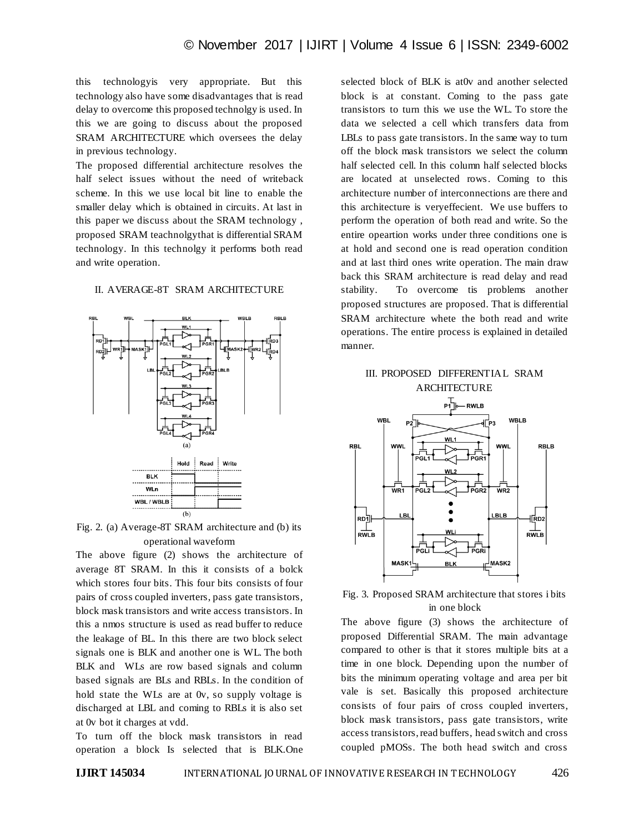this technologyis very appropriate. But this technology also have some disadvantages that is read delay to overcome this proposed technolgy is used. In this we are going to discuss about the proposed SRAM ARCHITECTURE which oversees the delay in previous technology.

The proposed differential architecture resolves the half select issues without the need of writeback scheme. In this we use local bit line to enable the smaller delay which is obtained in circuits. At last in this paper we discuss about the SRAM technology , proposed SRAM teachnolgythat is differential SRAM technology. In this technolgy it performs both read and write operation.

# II. AVERAGE-8T SRAM ARCHITECTURE



Fig. 2. (a) Average-8T SRAM architecture and (b) its operational waveform

The above figure (2) shows the architecture of average 8T SRAM. In this it consists of a bolck which stores four bits. This four bits consists of four pairs of cross coupled inverters, pass gate transistors, block mask transistors and write access transistors. In this a nmos structure is used as read buffer to reduce the leakage of BL. In this there are two block select signals one is BLK and another one is WL. The both BLK and WLs are row based signals and column based signals are BLs and RBLs. In the condition of hold state the WLs are at 0v, so supply voltage is discharged at LBL and coming to RBLs it is also set at 0v bot it charges at vdd.

To turn off the block mask transistors in read operation a block Is selected that is BLK.One selected block of BLK is at0v and another selected block is at constant. Coming to the pass gate transistors to turn this we use the WL. To store the data we selected a cell which transfers data from LBLs to pass gate transistors. In the same way to turn off the block mask transistors we select the column half selected cell. In this column half selected blocks are located at unselected rows. Coming to this architecture number of interconnections are there and this architecture is veryeffecient. We use buffers to perform the operation of both read and write. So the entire opeartion works under three conditions one is at hold and second one is read operation condition and at last third ones write operation. The main draw back this SRAM architecture is read delay and read stability. To overcome tis problems another proposed structures are proposed. That is differential SRAM architecture whete the both read and write operations. The entire process is explained in detailed manner.

# III. PROPOSED DIFFERENTIAL SRAM **ARCHITECTURE**



# Fig. 3. Proposed SRAM architecture that stores i bits in one block

The above figure (3) shows the architecture of proposed Differential SRAM. The main advantage compared to other is that it stores multiple bits at a time in one block. Depending upon the number of bits the minimum operating voltage and area per bit vale is set. Basically this proposed architecture consists of four pairs of cross coupled inverters, block mask transistors, pass gate transistors, write access transistors, read buffers, head switch and cross coupled pMOSs. The both head switch and cross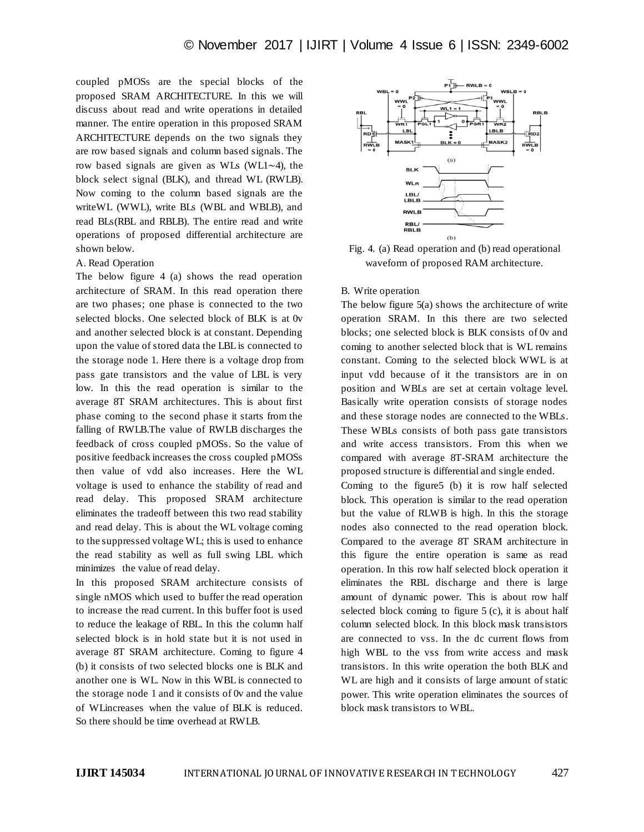coupled pMOSs are the special blocks of the proposed SRAM ARCHITECTURE. In this we will discuss about read and write operations in detailed manner. The entire operation in this proposed SRAM ARCHITECTURE depends on the two signals they are row based signals and column based signals. The row based signals are given as WLs (WL1∼4), the block select signal (BLK), and thread WL (RWLB). Now coming to the column based signals are the writeWL (WWL), write BLs (WBL and WBLB), and read BLs(RBL and RBLB). The entire read and write operations of proposed differential architecture are shown below.

### A. Read Operation

The below figure 4 (a) shows the read operation architecture of SRAM. In this read operation there are two phases; one phase is connected to the two selected blocks. One selected block of BLK is at 0v and another selected block is at constant. Depending upon the value of stored data the LBL is connected to the storage node 1. Here there is a voltage drop from pass gate transistors and the value of LBL is very low. In this the read operation is similar to the average 8T SRAM architectures. This is about first phase coming to the second phase it starts from the falling of RWLB.The value of RWLB discharges the feedback of cross coupled pMOSs. So the value of positive feedback increases the cross coupled pMOSs then value of vdd also increases. Here the WL voltage is used to enhance the stability of read and read delay. This proposed SRAM architecture eliminates the tradeoff between this two read stability and read delay. This is about the WL voltage coming to the suppressed voltage WL; this is used to enhance the read stability as well as full swing LBL which minimizes the value of read delay.

In this proposed SRAM architecture consists of single nMOS which used to buffer the read operation to increase the read current. In this buffer foot is used to reduce the leakage of RBL. In this the column half selected block is in hold state but it is not used in average 8T SRAM architecture. Coming to figure 4 (b) it consists of two selected blocks one is BLK and another one is WL. Now in this WBL is connected to the storage node 1 and it consists of 0v and the value of WLincreases when the value of BLK is reduced. So there should be time overhead at RWLB.



Fig. 4. (a) Read operation and (b) read operational waveform of proposed RAM architecture.

#### B. Write operation

The below figure 5(a) shows the architecture of write operation SRAM. In this there are two selected blocks; one selected block is BLK consists of 0v and coming to another selected block that is WL remains constant. Coming to the selected block WWL is at input vdd because of it the transistors are in on position and WBLs are set at certain voltage level. Basically write operation consists of storage nodes and these storage nodes are connected to the WBLs. These WBLs consists of both pass gate transistors and write access transistors. From this when we compared with average 8T-SRAM architecture the proposed structure is differential and single ended.

Coming to the figure5 (b) it is row half selected block. This operation is similar to the read operation but the value of RLWB is high. In this the storage nodes also connected to the read operation block. Compared to the average 8T SRAM architecture in this figure the entire operation is same as read operation. In this row half selected block operation it eliminates the RBL discharge and there is large amount of dynamic power. This is about row half selected block coming to figure 5 (c), it is about half column selected block. In this block mask transistors are connected to vss. In the dc current flows from high WBL to the vss from write access and mask transistors. In this write operation the both BLK and WL are high and it consists of large amount of static power. This write operation eliminates the sources of block mask transistors to WBL.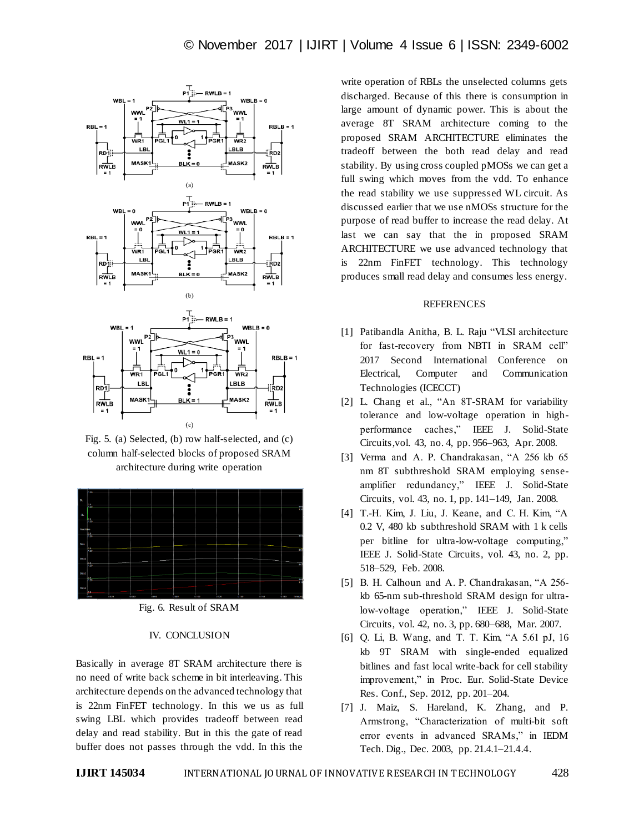

Fig. 5. (a) Selected, (b) row half-selected, and (c) column half-selected blocks of proposed SRAM architecture during write operation



Fig. 6. Result of SRAM

# IV. CONCLUSION

Basically in average 8T SRAM architecture there is no need of write back scheme in bit interleaving. This architecture depends on the advanced technology that is 22nm FinFET technology. In this we us as full swing LBL which provides tradeoff between read delay and read stability. But in this the gate of read buffer does not passes through the vdd. In this the

write operation of RBLs the unselected columns gets discharged. Because of this there is consumption in large amount of dynamic power. This is about the average 8T SRAM architecture coming to the proposed SRAM ARCHITECTURE eliminates the tradeoff between the both read delay and read stability. By using cross coupled pMOSs we can get a full swing which moves from the vdd. To enhance the read stability we use suppressed WL circuit. As discussed earlier that we use nMOSs structure for the purpose of read buffer to increase the read delay. At last we can say that the in proposed SRAM ARCHITECTURE we use advanced technology that is 22nm FinFET technology. This technology produces small read delay and consumes less energy.

# REFERENCES

- [1] [Patibandla Anitha](http://ieeexplore.ieee.org/search/searchresult.jsp?searchWithin=%22Authors%22:.QT.Patibandla%20Anitha.QT.&newsearch=true)[, B. L. Raju](http://ieeexplore.ieee.org/search/searchresult.jsp?searchWithin=%22Authors%22:.QT.B.%20L.%20Raju.QT.&newsearch=true) "VLSI architecture for fast-recovery from NBTI in SRAM cell" 2017 Second International Conference on Electrical, Computer and Communication Technologies (ICECCT)
- [2] L. Chang et al., "An 8T-SRAM for variability tolerance and low-voltage operation in highperformance caches," IEEE J. Solid-State Circuits,vol. 43, no. 4, pp. 956–963, Apr. 2008.
- [3] Verma and A. P. Chandrakasan, "A 256 kb 65 nm 8T subthreshold SRAM employing senseamplifier redundancy," IEEE J. Solid-State Circuits, vol. 43, no. 1, pp. 141–149, Jan. 2008.
- [4] T.-H. Kim, J. Liu, J. Keane, and C. H. Kim, "A 0.2 V, 480 kb subthreshold SRAM with 1 k cells per bitline for ultra-low-voltage computing," IEEE J. Solid-State Circuits, vol. 43, no. 2, pp. 518–529, Feb. 2008.
- [5] B. H. Calhoun and A. P. Chandrakasan, "A 256 kb 65-nm sub-threshold SRAM design for ultralow-voltage operation," IEEE J. Solid-State Circuits, vol. 42, no. 3, pp. 680–688, Mar. 2007.
- [6] Q. Li, B. Wang, and T. T. Kim, "A 5.61 pJ, 16 kb 9T SRAM with single-ended equalized bitlines and fast local write-back for cell stability improvement," in Proc. Eur. Solid-State Device Res. Conf., Sep. 2012, pp. 201–204.
- [7] J. Maiz, S. Hareland, K. Zhang, and P. Armstrong, "Characterization of multi-bit soft error events in advanced SRAMs," in IEDM Tech. Dig., Dec. 2003, pp. 21.4.1–21.4.4.